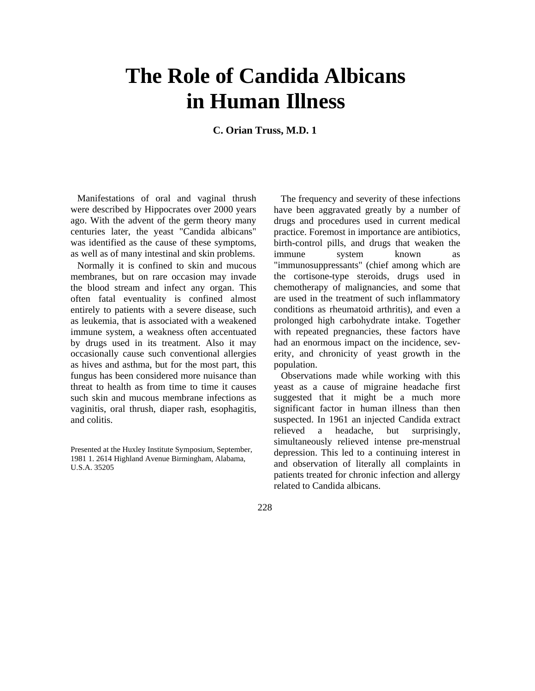## **The Role of Candida Albicans in Human Illness**

**C. Orian Truss, M.D. 1**

Manifestations of oral and vaginal thrush were described by Hippocrates over 2000 years ago. With the advent of the germ theory many centuries later, the yeast "Candida albicans" was identified as the cause of these symptoms, as well as of many intestinal and skin problems.

Normally it is confined to skin and mucous membranes, but on rare occasion may invade the blood stream and infect any organ. This often fatal eventuality is confined almost entirely to patients with a severe disease, such as leukemia, that is associated with a weakened immune system, a weakness often accentuated by drugs used in its treatment. Also it may occasionally cause such conventional allergies as hives and asthma, but for the most part, this fungus has been considered more nuisance than threat to health as from time to time it causes such skin and mucous membrane infections as vaginitis, oral thrush, diaper rash, esophagitis, and colitis.

Presented at the Huxley Institute Symposium, September, 1981 1. 2614 Highland Avenue Birmingham, Alabama, U.S.A. 35205

The frequency and severity of these infections have been aggravated greatly by a number of drugs and procedures used in current medical practice. Foremost in importance are antibiotics, birth-control pills, and drugs that weaken the immune system known as "immunosuppressants" (chief among which are the cortisone-type steroids, drugs used in chemotherapy of malignancies, and some that are used in the treatment of such inflammatory conditions as rheumatoid arthritis), and even a prolonged high carbohydrate intake. Together with repeated pregnancies, these factors have had an enormous impact on the incidence, severity, and chronicity of yeast growth in the population.

Observations made while working with this yeast as a cause of migraine headache first suggested that it might be a much more significant factor in human illness than then suspected. In 1961 an injected Candida extract relieved a headache, but surprisingly, simultaneously relieved intense pre-menstrual depression. This led to a continuing interest in and observation of literally all complaints in patients treated for chronic infection and allergy related to Candida albicans.

228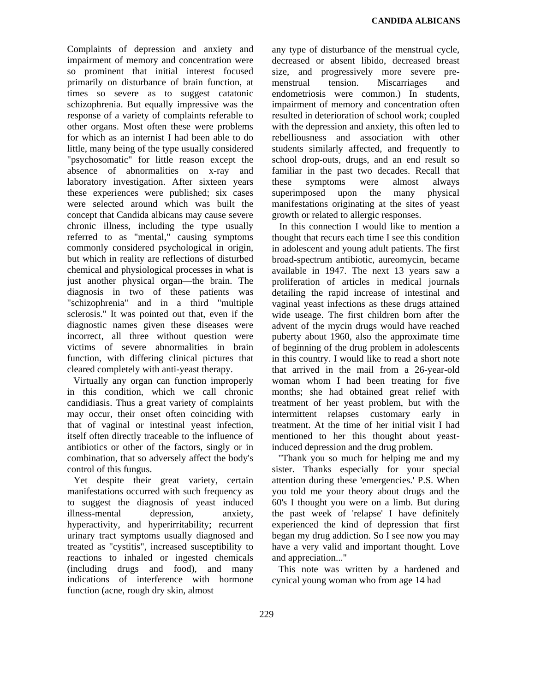Complaints of depression and anxiety and impairment of memory and concentration were so prominent that initial interest focused primarily on disturbance of brain function, at times so severe as to suggest catatonic schizophrenia. But equally impressive was the response of a variety of complaints referable to other organs. Most often these were problems for which as an internist I had been able to do little, many being of the type usually considered "psychosomatic" for little reason except the absence of abnormalities on x-ray and laboratory investigation. After sixteen years these experiences were published; six cases were selected around which was built the concept that Candida albicans may cause severe chronic illness, including the type usually referred to as "mental," causing symptoms commonly considered psychological in origin, but which in reality are reflections of disturbed chemical and physiological processes in what is just another physical organ—the brain. The diagnosis in two of these patients was "schizophrenia" and in a third "multiple sclerosis." It was pointed out that, even if the diagnostic names given these diseases were incorrect, all three without question were victims of severe abnormalities in brain function, with differing clinical pictures that cleared completely with anti-yeast therapy.

Virtually any organ can function improperly in this condition, which we call chronic candidiasis. Thus a great variety of complaints may occur, their onset often coinciding with that of vaginal or intestinal yeast infection, itself often directly traceable to the influence of antibiotics or other of the factors, singly or in combination, that so adversely affect the body's control of this fungus.

Yet despite their great variety, certain manifestations occurred with such frequency as to suggest the diagnosis of yeast induced illness-mental depression, anxiety, hyperactivity, and hyperirritability; recurrent urinary tract symptoms usually diagnosed and treated as "cystitis", increased susceptibility to reactions to inhaled or ingested chemicals (including drugs and food), and many indications of interference with hormone function (acne, rough dry skin, almost

any type of disturbance of the menstrual cycle, decreased or absent libido, decreased breast size, and progressively more severe premenstrual tension. Miscarriages and endometriosis were common.) In students, impairment of memory and concentration often resulted in deterioration of school work; coupled with the depression and anxiety, this often led to rebelliousness and association with other students similarly affected, and frequently to school drop-outs, drugs, and an end result so familiar in the past two decades. Recall that these symptoms were almost always superimposed upon the many physical manifestations originating at the sites of yeast growth or related to allergic responses.

In this connection I would like to mention a thought that recurs each time I see this condition in adolescent and young adult patients. The first broad-spectrum antibiotic, aureomycin, became available in 1947. The next 13 years saw a proliferation of articles in medical journals detailing the rapid increase of intestinal and vaginal yeast infections as these drugs attained wide useage. The first children born after the advent of the mycin drugs would have reached puberty about 1960, also the approximate time of beginning of the drug problem in adolescents in this country. I would like to read a short note that arrived in the mail from a 26-year-old woman whom I had been treating for five months; she had obtained great relief with treatment of her yeast problem, but with the intermittent relapses customary early in treatment. At the time of her initial visit I had mentioned to her this thought about yeastinduced depression and the drug problem.

"Thank you so much for helping me and my sister. Thanks especially for your special attention during these 'emergencies.' P.S. When you told me your theory about drugs and the 60's I thought you were on a limb. But during the past week of 'relapse' I have definitely experienced the kind of depression that first began my drug addiction. So I see now you may have a very valid and important thought. Love and appreciation..."

This note was written by a hardened and cynical young woman who from age 14 had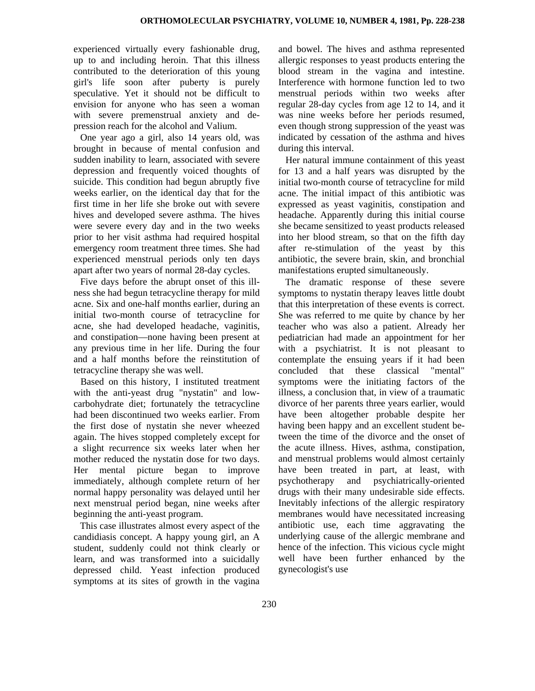experienced virtually every fashionable drug, up to and including heroin. That this illness contributed to the deterioration of this young girl's life soon after puberty is purely speculative. Yet it should not be difficult to envision for anyone who has seen a woman with severe premenstrual anxiety and depression reach for the alcohol and Valium.

One year ago a girl, also 14 years old, was brought in because of mental confusion and sudden inability to learn, associated with severe depression and frequently voiced thoughts of suicide. This condition had begun abruptly five weeks earlier, on the identical day that for the first time in her life she broke out with severe hives and developed severe asthma. The hives were severe every day and in the two weeks prior to her visit asthma had required hospital emergency room treatment three times. She had experienced menstrual periods only ten days apart after two years of normal 28-day cycles.

Five days before the abrupt onset of this illness she had begun tetracycline therapy for mild acne. Six and one-half months earlier, during an initial two-month course of tetracycline for acne, she had developed headache, vaginitis, and constipation—none having been present at any previous time in her life. During the four and a half months before the reinstitution of tetracycline therapy she was well.

Based on this history, I instituted treatment with the anti-yeast drug "nystatin" and lowcarbohydrate diet; fortunately the tetracycline had been discontinued two weeks earlier. From the first dose of nystatin she never wheezed again. The hives stopped completely except for a slight recurrence six weeks later when her mother reduced the nystatin dose for two days. Her mental picture began to improve immediately, although complete return of her normal happy personality was delayed until her next menstrual period began, nine weeks after beginning the anti-yeast program.

This case illustrates almost every aspect of the candidiasis concept. A happy young girl, an A student, suddenly could not think clearly or learn, and was transformed into a suicidally depressed child. Yeast infection produced symptoms at its sites of growth in the vagina

and bowel. The hives and asthma represented allergic responses to yeast products entering the blood stream in the vagina and intestine. Interference with hormone function led to two menstrual periods within two weeks after regular 28-day cycles from age 12 to 14, and it was nine weeks before her periods resumed, even though strong suppression of the yeast was indicated by cessation of the asthma and hives during this interval.

Her natural immune containment of this yeast for 13 and a half years was disrupted by the initial two-month course of tetracycline for mild acne. The initial impact of this antibiotic was expressed as yeast vaginitis, constipation and headache. Apparently during this initial course she became sensitized to yeast products released into her blood stream, so that on the fifth day after re-stimulation of the yeast by this antibiotic, the severe brain, skin, and bronchial manifestations erupted simultaneously.

The dramatic response of these severe symptoms to nystatin therapy leaves little doubt that this interpretation of these events is correct. She was referred to me quite by chance by her teacher who was also a patient. Already her pediatrician had made an appointment for her with a psychiatrist. It is not pleasant to contemplate the ensuing years if it had been concluded that these classical "mental" symptoms were the initiating factors of the illness, a conclusion that, in view of a traumatic divorce of her parents three years earlier, would have been altogether probable despite her having been happy and an excellent student between the time of the divorce and the onset of the acute illness. Hives, asthma, constipation, and menstrual problems would almost certainly have been treated in part, at least, with psychotherapy and psychiatrically-oriented drugs with their many undesirable side effects. Inevitably infections of the allergic respiratory membranes would have necessitated increasing antibiotic use, each time aggravating the underlying cause of the allergic membrane and hence of the infection. This vicious cycle might well have been further enhanced by the gynecologist's use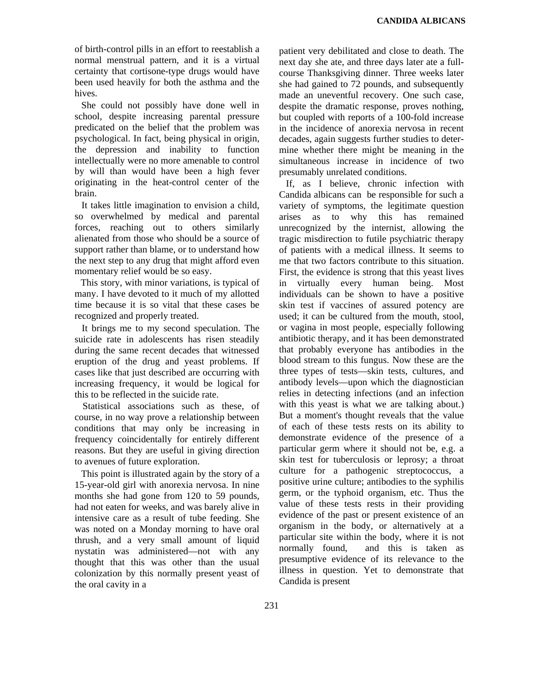of birth-control pills in an effort to reestablish a normal menstrual pattern, and it is a virtual certainty that cortisone-type drugs would have been used heavily for both the asthma and the hives.

She could not possibly have done well in school, despite increasing parental pressure predicated on the belief that the problem was psychological. In fact, being physical in origin, the depression and inability to function intellectually were no more amenable to control by will than would have been a high fever originating in the heat-control center of the brain.

It takes little imagination to envision a child, so overwhelmed by medical and parental forces, reaching out to others similarly alienated from those who should be a source of support rather than blame, or to understand how the next step to any drug that might afford even momentary relief would be so easy.

This story, with minor variations, is typical of many. I have devoted to it much of my allotted time because it is so vital that these cases be recognized and properly treated.

It brings me to my second speculation. The suicide rate in adolescents has risen steadily during the same recent decades that witnessed eruption of the drug and yeast problems. If cases like that just described are occurring with increasing frequency, it would be logical for this to be reflected in the suicide rate.

Statistical associations such as these, of course, in no way prove a relationship between conditions that may only be increasing in frequency coincidentally for entirely different reasons. But they are useful in giving direction to avenues of future exploration.

This point is illustrated again by the story of a 15-year-old girl with anorexia nervosa. In nine months she had gone from 120 to 59 pounds, had not eaten for weeks, and was barely alive in intensive care as a result of tube feeding. She was noted on a Monday morning to have oral thrush, and a very small amount of liquid nystatin was administered—not with any thought that this was other than the usual colonization by this normally present yeast of the oral cavity in a

patient very debilitated and close to death. The next day she ate, and three days later ate a fullcourse Thanksgiving dinner. Three weeks later she had gained to 72 pounds, and subsequently made an uneventful recovery. One such case, despite the dramatic response, proves nothing, but coupled with reports of a 100-fold increase in the incidence of anorexia nervosa in recent decades, again suggests further studies to determine whether there might be meaning in the simultaneous increase in incidence of two presumably unrelated conditions.

If, as I believe, chronic infection with Candida albicans can be responsible for such a variety of symptoms, the legitimate question arises as to why this has remained unrecognized by the internist, allowing the tragic misdirection to futile psychiatric therapy of patients with a medical illness. It seems to me that two factors contribute to this situation. First, the evidence is strong that this yeast lives in virtually every human being. Most individuals can be shown to have a positive skin test if vaccines of assured potency are used; it can be cultured from the mouth, stool, or vagina in most people, especially following antibiotic therapy, and it has been demonstrated that probably everyone has antibodies in the blood stream to this fungus. Now these are the three types of tests—skin tests, cultures, and antibody levels—upon which the diagnostician relies in detecting infections (and an infection with this yeast is what we are talking about.) But a moment's thought reveals that the value of each of these tests rests on its ability to demonstrate evidence of the presence of a particular germ where it should not be, e.g. a skin test for tuberculosis or leprosy; a throat culture for a pathogenic streptococcus, a positive urine culture; antibodies to the syphilis germ, or the typhoid organism, etc. Thus the value of these tests rests in their providing evidence of the past or present existence of an organism in the body, or alternatively at a particular site within the body, where it is not normally found, and this is taken as presumptive evidence of its relevance to the illness in question. Yet to demonstrate that Candida is present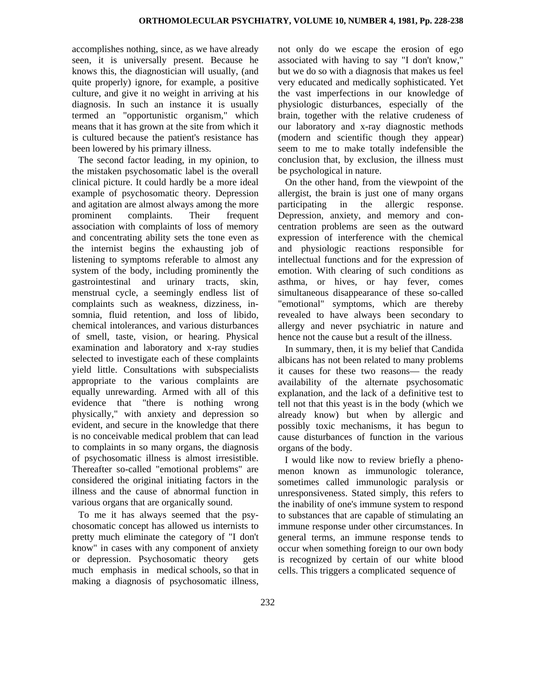accomplishes nothing, since, as we have already seen, it is universally present. Because he knows this, the diagnostician will usually, (and quite properly) ignore, for example, a positive culture, and give it no weight in arriving at his diagnosis. In such an instance it is usually termed an "opportunistic organism," which means that it has grown at the site from which it is cultured because the patient's resistance has been lowered by his primary illness.

The second factor leading, in my opinion, to the mistaken psychosomatic label is the overall clinical picture. It could hardly be a more ideal example of psychosomatic theory. Depression and agitation are almost always among the more prominent complaints. Their frequent association with complaints of loss of memory and concentrating ability sets the tone even as the internist begins the exhausting job of listening to symptoms referable to almost any system of the body, including prominently the gastrointestinal and urinary tracts, skin, menstrual cycle, a seemingly endless list of complaints such as weakness, dizziness, insomnia, fluid retention, and loss of libido, chemical intolerances, and various disturbances of smell, taste, vision, or hearing. Physical examination and laboratory and x-ray studies selected to investigate each of these complaints yield little. Consultations with subspecialists appropriate to the various complaints are equally unrewarding. Armed with all of this evidence that "there is nothing wrong physically," with anxiety and depression so evident, and secure in the knowledge that there is no conceivable medical problem that can lead to complaints in so many organs, the diagnosis of psychosomatic illness is almost irresistible. Thereafter so-called "emotional problems" are considered the original initiating factors in the illness and the cause of abnormal function in various organs that are organically sound.

To me it has always seemed that the psychosomatic concept has allowed us internists to pretty much eliminate the category of "I don't know" in cases with any component of anxiety or depression. Psychosomatic theory gets much emphasis in medical schools, so that in making a diagnosis of psychosomatic illness,

not only do we escape the erosion of ego associated with having to say "I don't know," but we do so with a diagnosis that makes us feel very educated and medically sophisticated. Yet the vast imperfections in our knowledge of physiologic disturbances, especially of the brain, together with the relative crudeness of our laboratory and x-ray diagnostic methods (modern and scientific though they appear) seem to me to make totally indefensible the conclusion that, by exclusion, the illness must be psychological in nature.

On the other hand, from the viewpoint of the allergist, the brain is just one of many organs participating in the allergic response. Depression, anxiety, and memory and concentration problems are seen as the outward expression of interference with the chemical and physiologic reactions responsible for intellectual functions and for the expression of emotion. With clearing of such conditions as asthma, or hives, or hay fever, comes simultaneous disappearance of these so-called "emotional" symptoms, which are thereby revealed to have always been secondary to allergy and never psychiatric in nature and hence not the cause but a result of the illness.

In summary, then, it is my belief that Candida albicans has not been related to many problems it causes for these two reasons— the ready availability of the alternate psychosomatic explanation, and the lack of a definitive test to tell not that this yeast is in the body (which we already know) but when by allergic and possibly toxic mechanisms, it has begun to cause disturbances of function in the various organs of the body.

I would like now to review briefly a phenomenon known as immunologic tolerance, sometimes called immunologic paralysis or unresponsiveness. Stated simply, this refers to the inability of one's immune system to respond to substances that are capable of stimulating an immune response under other circumstances. In general terms, an immune response tends to occur when something foreign to our own body is recognized by certain of our white blood cells. This triggers a complicated sequence of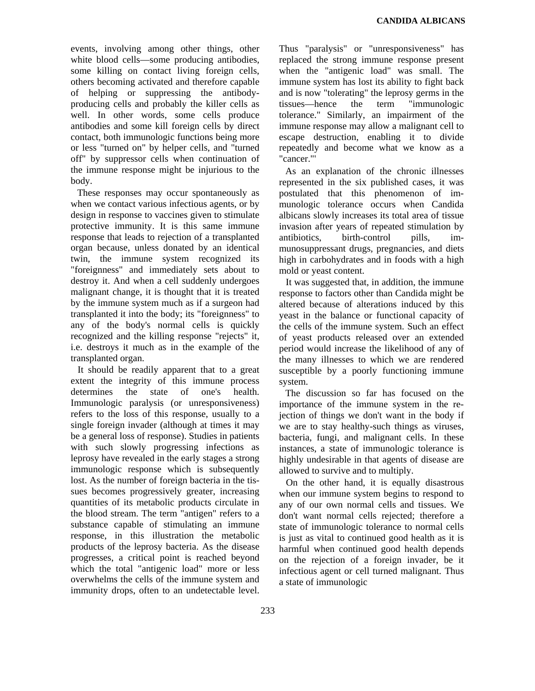events, involving among other things, other white blood cells—some producing antibodies, some killing on contact living foreign cells, others becoming activated and therefore capable of helping or suppressing the antibodyproducing cells and probably the killer cells as well. In other words, some cells produce antibodies and some kill foreign cells by direct contact, both immunologic functions being more or less "turned on" by helper cells, and "turned off" by suppressor cells when continuation of the immune response might be injurious to the body.

These responses may occur spontaneously as when we contact various infectious agents, or by design in response to vaccines given to stimulate protective immunity. It is this same immune response that leads to rejection of a transplanted organ because, unless donated by an identical twin, the immune system recognized its "foreignness" and immediately sets about to destroy it. And when a cell suddenly undergoes malignant change, it is thought that it is treated by the immune system much as if a surgeon had transplanted it into the body; its "foreignness" to any of the body's normal cells is quickly recognized and the killing response "rejects" it, i.e. destroys it much as in the example of the transplanted organ.

It should be readily apparent that to a great extent the integrity of this immune process determines the state of one's health. Immunologic paralysis (or unresponsiveness) refers to the loss of this response, usually to a single foreign invader (although at times it may be a general loss of response). Studies in patients with such slowly progressing infections as leprosy have revealed in the early stages a strong immunologic response which is subsequently lost. As the number of foreign bacteria in the tissues becomes progressively greater, increasing quantities of its metabolic products circulate in the blood stream. The term "antigen" refers to a substance capable of stimulating an immune response, in this illustration the metabolic products of the leprosy bacteria. As the disease progresses, a critical point is reached beyond which the total "antigenic load" more or less overwhelms the cells of the immune system and immunity drops, often to an undetectable level. Thus "paralysis" or "unresponsiveness" has replaced the strong immune response present when the "antigenic load" was small. The immune system has lost its ability to fight back and is now "tolerating" the leprosy germs in the tissues—hence the term "immunologic tolerance." Similarly, an impairment of the immune response may allow a malignant cell to escape destruction, enabling it to divide repeatedly and become what we know as a "cancer."'

As an explanation of the chronic illnesses represented in the six published cases, it was postulated that this phenomenon of immunologic tolerance occurs when Candida albicans slowly increases its total area of tissue invasion after years of repeated stimulation by antibiotics, birth-control pills, immunosuppressant drugs, pregnancies, and diets high in carbohydrates and in foods with a high mold or yeast content.

It was suggested that, in addition, the immune response to factors other than Candida might be altered because of alterations induced by this yeast in the balance or functional capacity of the cells of the immune system. Such an effect of yeast products released over an extended period would increase the likelihood of any of the many illnesses to which we are rendered susceptible by a poorly functioning immune system.

The discussion so far has focused on the importance of the immune system in the rejection of things we don't want in the body if we are to stay healthy-such things as viruses, bacteria, fungi, and malignant cells. In these instances, a state of immunologic tolerance is highly undesirable in that agents of disease are allowed to survive and to multiply.

On the other hand, it is equally disastrous when our immune system begins to respond to any of our own normal cells and tissues. We don't want normal cells rejected; therefore a state of immunologic tolerance to normal cells is just as vital to continued good health as it is harmful when continued good health depends on the rejection of a foreign invader, be it infectious agent or cell turned malignant. Thus a state of immunologic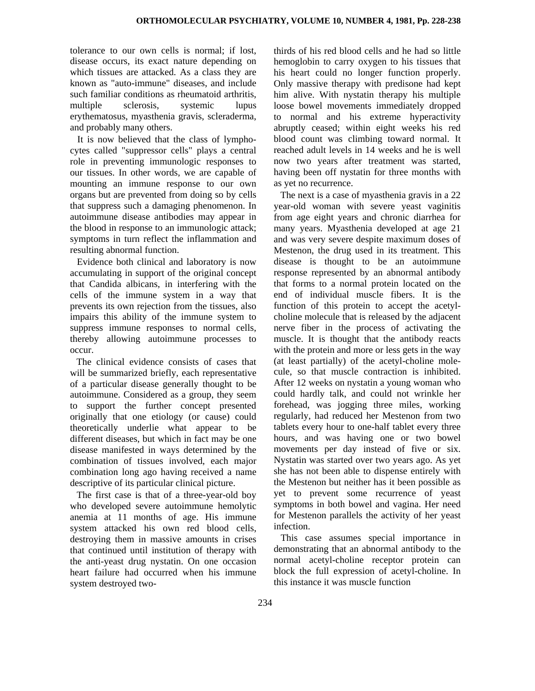tolerance to our own cells is normal; if lost, disease occurs, its exact nature depending on which tissues are attacked. As a class they are known as "auto-immune" diseases, and include such familiar conditions as rheumatoid arthritis, multiple sclerosis, systemic lupus erythematosus, myasthenia gravis, scleraderma, and probably many others.

It is now believed that the class of lymphocytes called "suppressor cells" plays a central role in preventing immunologic responses to our tissues. In other words, we are capable of mounting an immune response to our own organs but are prevented from doing so by cells that suppress such a damaging phenomenon. In autoimmune disease antibodies may appear in the blood in response to an immunologic attack; symptoms in turn reflect the inflammation and resulting abnormal function.

Evidence both clinical and laboratory is now accumulating in support of the original concept that Candida albicans, in interfering with the cells of the immune system in a way that prevents its own rejection from the tissues, also impairs this ability of the immune system to suppress immune responses to normal cells, thereby allowing autoimmune processes to occur.

The clinical evidence consists of cases that will be summarized briefly, each representative of a particular disease generally thought to be autoimmune. Considered as a group, they seem to support the further concept presented originally that one etiology (or cause) could theoretically underlie what appear to be different diseases, but which in fact may be one disease manifested in ways determined by the combination of tissues involved, each major combination long ago having received a name descriptive of its particular clinical picture.

The first case is that of a three-year-old boy who developed severe autoimmune hemolytic anemia at 11 months of age. His immune system attacked his own red blood cells, destroying them in massive amounts in crises that continued until institution of therapy with the anti-yeast drug nystatin. On one occasion heart failure had occurred when his immune system destroyed twothirds of his red blood cells and he had so little hemoglobin to carry oxygen to his tissues that his heart could no longer function properly. Only massive therapy with predisone had kept him alive. With nystatin therapy his multiple loose bowel movements immediately dropped to normal and his extreme hyperactivity abruptly ceased; within eight weeks his red blood count was climbing toward normal. It reached adult levels in 14 weeks and he is well now two years after treatment was started, having been off nystatin for three months with as yet no recurrence.

The next is a case of myasthenia gravis in a 22 year-old woman with severe yeast vaginitis from age eight years and chronic diarrhea for many years. Myasthenia developed at age 21 and was very severe despite maximum doses of Mestenon, the drug used in its treatment. This disease is thought to be an autoimmune response represented by an abnormal antibody that forms to a normal protein located on the end of individual muscle fibers. It is the function of this protein to accept the acetylcholine molecule that is released by the adjacent nerve fiber in the process of activating the muscle. It is thought that the antibody reacts with the protein and more or less gets in the way (at least partially) of the acetyl-choline molecule, so that muscle contraction is inhibited. After 12 weeks on nystatin a young woman who could hardly talk, and could not wrinkle her forehead, was jogging three miles, working regularly, had reduced her Mestenon from two tablets every hour to one-half tablet every three hours, and was having one or two bowel movements per day instead of five or six. Nystatin was started over two years ago. As yet she has not been able to dispense entirely with the Mestenon but neither has it been possible as yet to prevent some recurrence of yeast symptoms in both bowel and vagina. Her need for Mestenon parallels the activity of her yeast infection.

This case assumes special importance in demonstrating that an abnormal antibody to the normal acetyl-choline receptor protein can block the full expression of acetyl-choline. In this instance it was muscle function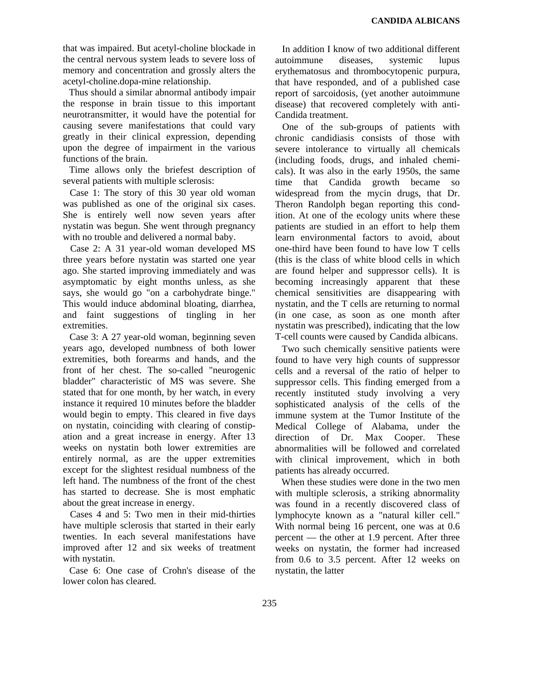that was impaired. But acetyl-choline blockade in the central nervous system leads to severe loss of memory and concentration and grossly alters the acetyl-choline.dopa-mine relationship.

Thus should a similar abnormal antibody impair the response in brain tissue to this important neurotransmitter, it would have the potential for causing severe manifestations that could vary greatly in their clinical expression, depending upon the degree of impairment in the various functions of the brain.

Time allows only the briefest description of several patients with multiple sclerosis:

Case 1: The story of this 30 year old woman was published as one of the original six cases. She is entirely well now seven years after nystatin was begun. She went through pregnancy with no trouble and delivered a normal baby.

Case 2: A 31 year-old woman developed MS three years before nystatin was started one year ago. She started improving immediately and was asymptomatic by eight months unless, as she says, she would go "on a carbohydrate binge." This would induce abdominal bloating, diarrhea, and faint suggestions of tingling in her extremities.

Case 3: A 27 year-old woman, beginning seven years ago, developed numbness of both lower extremities, both forearms and hands, and the front of her chest. The so-called "neurogenic bladder" characteristic of MS was severe. She stated that for one month, by her watch, in every instance it required 10 minutes before the bladder would begin to empty. This cleared in five days on nystatin, coinciding with clearing of constipation and a great increase in energy. After 13 weeks on nystatin both lower extremities are entirely normal, as are the upper extremities except for the slightest residual numbness of the left hand. The numbness of the front of the chest has started to decrease. She is most emphatic about the great increase in energy.

Cases 4 and 5: Two men in their mid-thirties have multiple sclerosis that started in their early twenties. In each several manifestations have improved after 12 and six weeks of treatment with nystatin.

Case 6: One case of Crohn's disease of the lower colon has cleared.

In addition I know of two additional different autoimmune diseases, systemic lupus erythematosus and thrombocytopenic purpura, that have responded, and of a published case report of sarcoidosis, (yet another autoimmune disease) that recovered completely with anti-Candida treatment.

One of the sub-groups of patients with chronic candidiasis consists of those with severe intolerance to virtually all chemicals (including foods, drugs, and inhaled chemicals). It was also in the early 1950s, the same time that Candida growth became so widespread from the mycin drugs, that Dr. Theron Randolph began reporting this condition. At one of the ecology units where these patients are studied in an effort to help them learn environmental factors to avoid, about one-third have been found to have low T cells (this is the class of white blood cells in which are found helper and suppressor cells). It is becoming increasingly apparent that these chemical sensitivities are disappearing with nystatin, and the T cells are returning to normal (in one case, as soon as one month after nystatin was prescribed), indicating that the low T-cell counts were caused by Candida albicans.

Two such chemically sensitive patients were found to have very high counts of suppressor cells and a reversal of the ratio of helper to suppressor cells. This finding emerged from a recently instituted study involving a very sophisticated analysis of the cells of the immune system at the Tumor Institute of the Medical College of Alabama, under the direction of Dr. Max Cooper. These abnormalities will be followed and correlated with clinical improvement, which in both patients has already occurred.

When these studies were done in the two men with multiple sclerosis, a striking abnormality was found in a recently discovered class of lymphocyte known as a "natural killer cell." With normal being 16 percent, one was at 0.6 percent — the other at 1.9 percent. After three weeks on nystatin, the former had increased from 0.6 to 3.5 percent. After 12 weeks on nystatin, the latter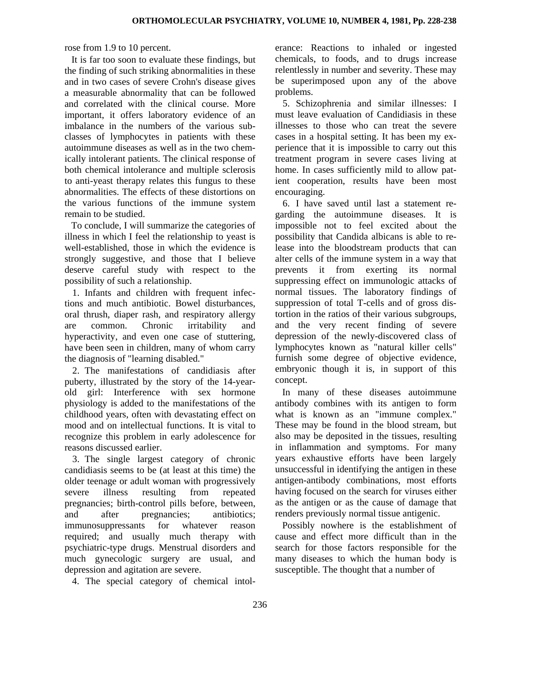rose from 1.9 to 10 percent.

It is far too soon to evaluate these findings, but the finding of such striking abnormalities in these and in two cases of severe Crohn's disease gives a measurable abnormality that can be followed and correlated with the clinical course. More important, it offers laboratory evidence of an imbalance in the numbers of the various subclasses of lymphocytes in patients with these autoimmune diseases as well as in the two chemically intolerant patients. The clinical response of both chemical intolerance and multiple sclerosis to anti-yeast therapy relates this fungus to these abnormalities. The effects of these distortions on the various functions of the immune system remain to be studied.

To conclude, I will summarize the categories of illness in which I feel the relationship to yeast is well-established, those in which the evidence is strongly suggestive, and those that I believe deserve careful study with respect to the possibility of such a relationship.

1. Infants and children with frequent infections and much antibiotic. Bowel disturbances, oral thrush, diaper rash, and respiratory allergy are common. Chronic irritability and hyperactivity, and even one case of stuttering, have been seen in children, many of whom carry the diagnosis of "learning disabled."

2. The manifestations of candidiasis after puberty, illustrated by the story of the 14-yearold girl: Interference with sex hormone physiology is added to the manifestations of the childhood years, often with devastating effect on mood and on intellectual functions. It is vital to recognize this problem in early adolescence for reasons discussed earlier.

3. The single largest category of chronic candidiasis seems to be (at least at this time) the older teenage or adult woman with progressively severe illness resulting from repeated pregnancies; birth-control pills before, between, and after pregnancies; antibiotics; immunosuppressants for whatever reason required; and usually much therapy with psychiatric-type drugs. Menstrual disorders and much gynecologic surgery are usual, and depression and agitation are severe.

4. The special category of chemical intol-

erance: Reactions to inhaled or ingested chemicals, to foods, and to drugs increase relentlessly in number and severity. These may be superimposed upon any of the above problems.

5. Schizophrenia and similar illnesses: I must leave evaluation of Candidiasis in these illnesses to those who can treat the severe cases in a hospital setting. It has been my experience that it is impossible to carry out this treatment program in severe cases living at home. In cases sufficiently mild to allow patient cooperation, results have been most encouraging.

6. I have saved until last a statement regarding the autoimmune diseases. It is impossible not to feel excited about the possibility that Candida albicans is able to release into the bloodstream products that can alter cells of the immune system in a way that prevents it from exerting its normal suppressing effect on immunologic attacks of normal tissues. The laboratory findings of suppression of total T-cells and of gross distortion in the ratios of their various subgroups, and the very recent finding of severe depression of the newly-discovered class of lymphocytes known as "natural killer cells" furnish some degree of objective evidence, embryonic though it is, in support of this concept.

In many of these diseases autoimmune antibody combines with its antigen to form what is known as an "immune complex." These may be found in the blood stream, but also may be deposited in the tissues, resulting in inflammation and symptoms. For many years exhaustive efforts have been largely unsuccessful in identifying the antigen in these antigen-antibody combinations, most efforts having focused on the search for viruses either as the antigen or as the cause of damage that renders previously normal tissue antigenic.

Possibly nowhere is the establishment of cause and effect more difficult than in the search for those factors responsible for the many diseases to which the human body is susceptible. The thought that a number of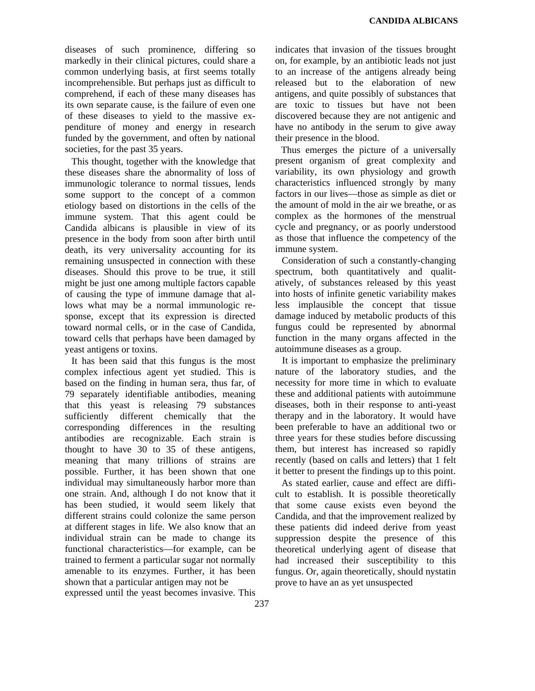diseases of such prominence, differing so markedly in their clinical pictures, could share a common underlying basis, at first seems totally incomprehensible. But perhaps just as difficult to comprehend, if each of these many diseases has its own separate cause, is the failure of even one of these diseases to yield to the massive expenditure of money and energy in research funded by the government, and often by national societies, for the past 35 years.

This thought, together with the knowledge that these diseases share the abnormality of loss of immunologic tolerance to normal tissues, lends some support to the concept of a common etiology based on distortions in the cells of the immune system. That this agent could be Candida albicans is plausible in view of its presence in the body from soon after birth until death, its very universality accounting for its remaining unsuspected in connection with these diseases. Should this prove to be true, it still might be just one among multiple factors capable of causing the type of immune damage that allows what may be a normal immunologic response, except that its expression is directed toward normal cells, or in the case of Candida, toward cells that perhaps have been damaged by yeast antigens or toxins.

It has been said that this fungus is the most complex infectious agent yet studied. This is based on the finding in human sera, thus far, of 79 separately identifiable antibodies, meaning that this yeast is releasing 79 substances sufficiently different chemically that the corresponding differences in the resulting antibodies are recognizable. Each strain is thought to have 30 to 35 of these antigens, meaning that many trillions of strains are possible. Further, it has been shown that one individual may simultaneously harbor more than one strain. And, although I do not know that it has been studied, it would seem likely that different strains could colonize the same person at different stages in life. We also know that an individual strain can be made to change its functional characteristics—for example, can be trained to ferment a particular sugar not normally amenable to its enzymes. Further, it has been shown that a particular antigen may not be expressed until the yeast becomes invasive. This indicates that invasion of the tissues brought on, for example, by an antibiotic leads not just to an increase of the antigens already being released but to the elaboration of new antigens, and quite possibly of substances that are toxic to tissues but have not been discovered because they are not antigenic and have no antibody in the serum to give away their presence in the blood.

Thus emerges the picture of a universally present organism of great complexity and variability, its own physiology and growth characteristics influenced strongly by many factors in our lives—those as simple as diet or the amount of mold in the air we breathe, or as complex as the hormones of the menstrual cycle and pregnancy, or as poorly understood as those that influence the competency of the immune system.

Consideration of such a constantly-changing spectrum, both quantitatively and qualitatively, of substances released by this yeast into hosts of infinite genetic variability makes less implausible the concept that tissue damage induced by metabolic products of this fungus could be represented by abnormal function in the many organs affected in the autoimmune diseases as a group.

It is important to emphasize the preliminary nature of the laboratory studies, and the necessity for more time in which to evaluate these and additional patients with autoimmune diseases, both in their response to anti-yeast therapy and in the laboratory. It would have been preferable to have an additional two or three years for these studies before discussing them, but interest has increased so rapidly recently (based on calls and letters) that 1 felt it better to present the findings up to this point.

As stated earlier, cause and effect are difficult to establish. It is possible theoretically that some cause exists even beyond the Candida, and that the improvement realized by these patients did indeed derive from yeast suppression despite the presence of this theoretical underlying agent of disease that had increased their susceptibility to this fungus. Or, again theoretically, should nystatin prove to have an as yet unsuspected